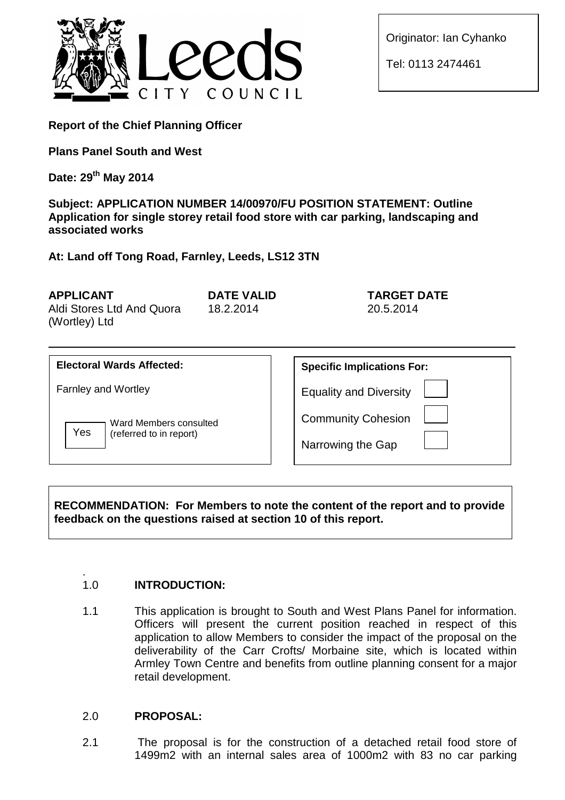

Originator: Ian Cyhanko

Tel: 0113 2474461

**Report of the Chief Planning Officer**

**Plans Panel South and West**

**Date: 29th May 2014**

**Subject: APPLICATION NUMBER 14/00970/FU POSITION STATEMENT: Outline Application for single storey retail food store with car parking, landscaping and associated works**

**At: Land off Tong Road, Farnley, Leeds, LS12 3TN**

| <b>APPLICANT</b><br>DATE VALID                          | <b>TARGET DATE</b> |
|---------------------------------------------------------|--------------------|
| Aldi Stores Ltd And Quora<br>18.2.2014<br>(Wortley) Ltd | 20.5.2014          |

| <b>Electoral Wards Affected:</b>                         | <b>Specific Implications For:</b>              |
|----------------------------------------------------------|------------------------------------------------|
| <b>Farnley and Wortley</b>                               | <b>Equality and Diversity</b>                  |
| Ward Members consulted<br>Yes<br>(referred to in report) | <b>Community Cohesion</b><br>Narrowing the Gap |

**RECOMMENDATION: For Members to note the content of the report and to provide feedback on the questions raised at section 10 of this report.**

#### . 1.0 **INTRODUCTION:**

1.1 This application is brought to South and West Plans Panel for information. Officers will present the current position reached in respect of this application to allow Members to consider the impact of the proposal on the deliverability of the Carr Crofts/ Morbaine site, which is located within Armley Town Centre and benefits from outline planning consent for a major retail development.

# 2.0 **PROPOSAL:**

2.1 The proposal is for the construction of a detached retail food store of 1499m2 with an internal sales area of 1000m2 with 83 no car parking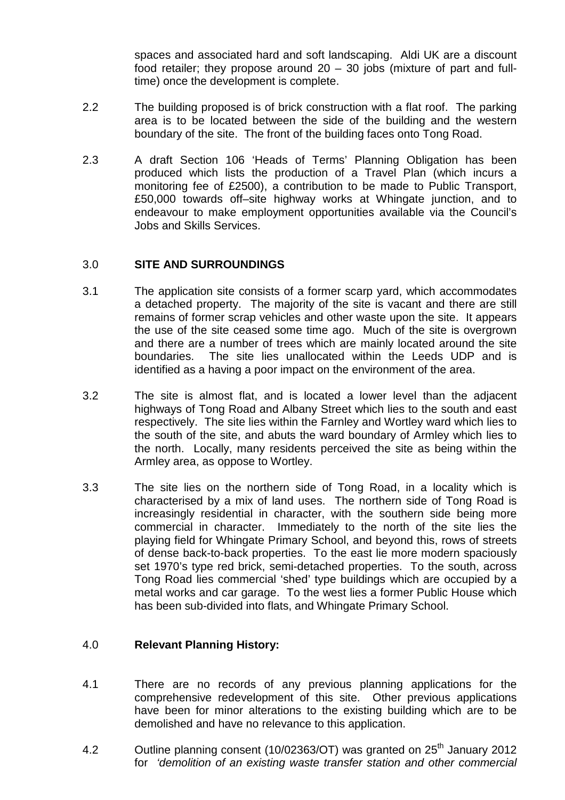spaces and associated hard and soft landscaping. Aldi UK are a discount food retailer; they propose around 20 – 30 jobs (mixture of part and fulltime) once the development is complete.

- 2.2 The building proposed is of brick construction with a flat roof. The parking area is to be located between the side of the building and the western boundary of the site. The front of the building faces onto Tong Road.
- 2.3 A draft Section 106 'Heads of Terms' Planning Obligation has been produced which lists the production of a Travel Plan (which incurs a monitoring fee of £2500), a contribution to be made to Public Transport, £50,000 towards off–site highway works at Whingate junction, and to endeavour to make employment opportunities available via the Council's Jobs and Skills Services.

## 3.0 **SITE AND SURROUNDINGS**

- 3.1 The application site consists of a former scarp yard, which accommodates a detached property. The majority of the site is vacant and there are still remains of former scrap vehicles and other waste upon the site. It appears the use of the site ceased some time ago. Much of the site is overgrown and there are a number of trees which are mainly located around the site boundaries. The site lies unallocated within the Leeds UDP and is identified as a having a poor impact on the environment of the area.
- 3.2 The site is almost flat, and is located a lower level than the adjacent highways of Tong Road and Albany Street which lies to the south and east respectively. The site lies within the Farnley and Wortley ward which lies to the south of the site, and abuts the ward boundary of Armley which lies to the north. Locally, many residents perceived the site as being within the Armley area, as oppose to Wortley.
- 3.3 The site lies on the northern side of Tong Road, in a locality which is characterised by a mix of land uses. The northern side of Tong Road is increasingly residential in character, with the southern side being more commercial in character. Immediately to the north of the site lies the playing field for Whingate Primary School, and beyond this, rows of streets of dense back-to-back properties. To the east lie more modern spaciously set 1970's type red brick, semi-detached properties. To the south, across Tong Road lies commercial 'shed' type buildings which are occupied by a metal works and car garage. To the west lies a former Public House which has been sub-divided into flats, and Whingate Primary School.

# 4.0 **Relevant Planning History:**

- 4.1 There are no records of any previous planning applications for the comprehensive redevelopment of this site. Other previous applications have been for minor alterations to the existing building which are to be demolished and have no relevance to this application.
- 4.2  $\blacksquare$  Outline planning consent (10/02363/OT) was granted on 25<sup>th</sup> January 2012 for *'demolition of an existing waste transfer station and other commercial*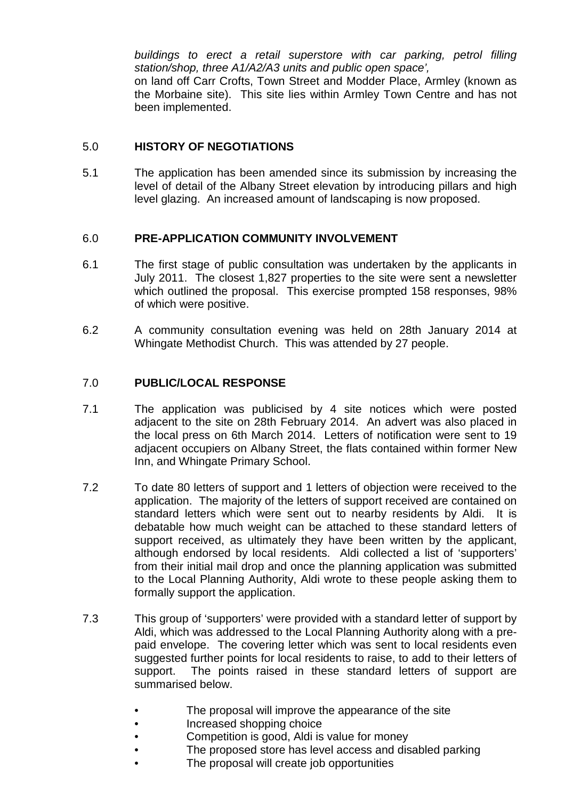*buildings to erect a retail superstore with car parking, petrol filling station/shop, three A1/A2/A3 units and public open space',* on land off Carr Crofts, Town Street and Modder Place, Armley (known as

the Morbaine site). This site lies within Armley Town Centre and has not been implemented.

# 5.0 **HISTORY OF NEGOTIATIONS**

5.1 The application has been amended since its submission by increasing the level of detail of the Albany Street elevation by introducing pillars and high level glazing. An increased amount of landscaping is now proposed.

## 6.0 **PRE-APPLICATION COMMUNITY INVOLVEMENT**

- 6.1 The first stage of public consultation was undertaken by the applicants in July 2011. The closest 1,827 properties to the site were sent a newsletter which outlined the proposal. This exercise prompted 158 responses, 98% of which were positive.
- 6.2 A community consultation evening was held on 28th January 2014 at Whingate Methodist Church. This was attended by 27 people.

# 7.0 **PUBLIC/LOCAL RESPONSE**

- 7.1 The application was publicised by 4 site notices which were posted adjacent to the site on 28th February 2014. An advert was also placed in the local press on 6th March 2014. Letters of notification were sent to 19 adjacent occupiers on Albany Street, the flats contained within former New Inn, and Whingate Primary School.
- 7.2 To date 80 letters of support and 1 letters of objection were received to the application. The majority of the letters of support received are contained on standard letters which were sent out to nearby residents by Aldi. It is debatable how much weight can be attached to these standard letters of support received, as ultimately they have been written by the applicant, although endorsed by local residents. Aldi collected a list of 'supporters' from their initial mail drop and once the planning application was submitted to the Local Planning Authority, Aldi wrote to these people asking them to formally support the application.
- 7.3 This group of 'supporters' were provided with a standard letter of support by Aldi, which was addressed to the Local Planning Authority along with a prepaid envelope. The covering letter which was sent to local residents even suggested further points for local residents to raise, to add to their letters of support. The points raised in these standard letters of support are summarised below.
	- The proposal will improve the appearance of the site
	- Increased shopping choice
	- Competition is good, Aldi is value for money
	- The proposed store has level access and disabled parking
	- The proposal will create job opportunities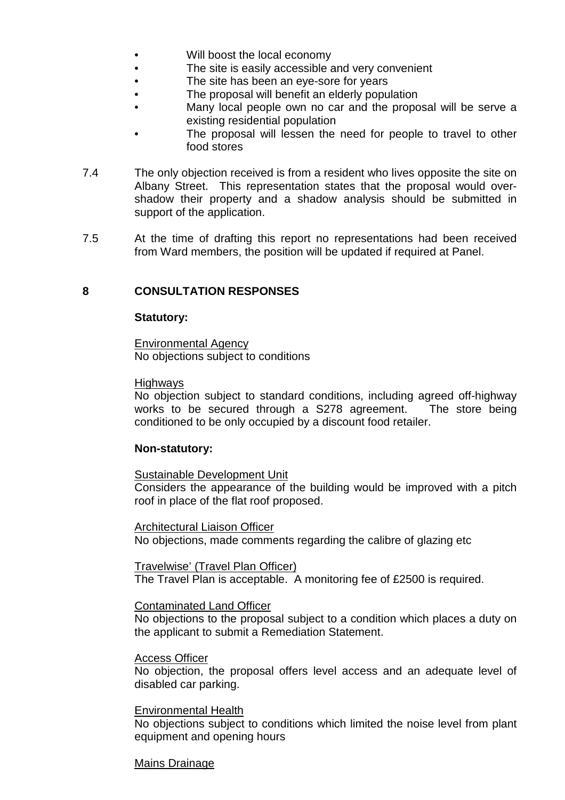- Will boost the local economy
- The site is easily accessible and very convenient
- The site has been an eye-sore for years
- The proposal will benefit an elderly population
- Many local people own no car and the proposal will be serve a existing residential population
- The proposal will lessen the need for people to travel to other food stores
- 7.4 The only objection received is from a resident who lives opposite the site on Albany Street. This representation states that the proposal would overshadow their property and a shadow analysis should be submitted in support of the application.
- 7.5 At the time of drafting this report no representations had been received from Ward members, the position will be updated if required at Panel.

### **8 CONSULTATION RESPONSES**

#### **Statutory:**

Environmental Agency No objections subject to conditions

#### Highways

No objection subject to standard conditions, including agreed off-highway works to be secured through a S278 agreement. The store being conditioned to be only occupied by a discount food retailer.

#### **Non-statutory:**

## Sustainable Development Unit

Considers the appearance of the building would be improved with a pitch roof in place of the flat roof proposed.

Architectural Liaison Officer

No objections, made comments regarding the calibre of glazing etc

Travelwise' (Travel Plan Officer)

The Travel Plan is acceptable. A monitoring fee of £2500 is required.

#### Contaminated Land Officer

No objections to the proposal subject to a condition which places a duty on the applicant to submit a Remediation Statement.

#### Access Officer

No objection, the proposal offers level access and an adequate level of disabled car parking.

#### Environmental Health

No objections subject to conditions which limited the noise level from plant equipment and opening hours

#### Mains Drainage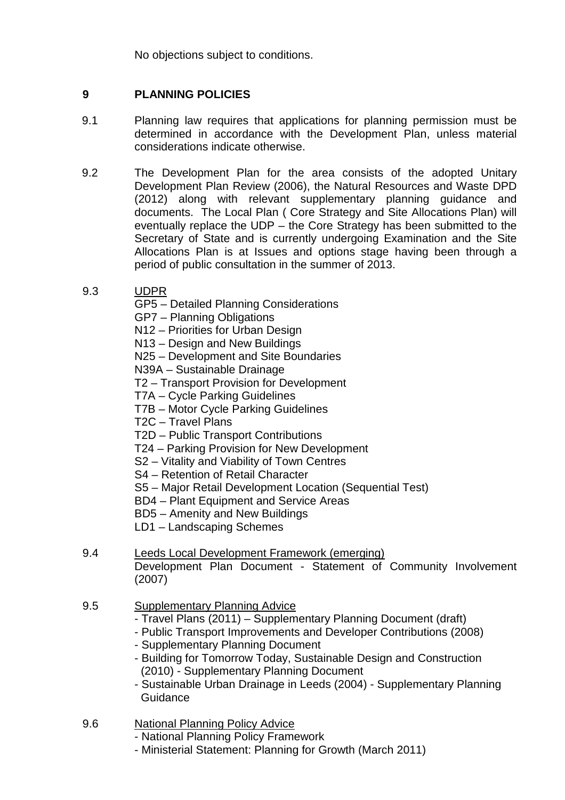No objections subject to conditions.

# **9 PLANNING POLICIES**

- 9.1 Planning law requires that applications for planning permission must be determined in accordance with the Development Plan, unless material considerations indicate otherwise.
- 9.2 The Development Plan for the area consists of the adopted Unitary Development Plan Review (2006), the Natural Resources and Waste DPD (2012) along with relevant supplementary planning guidance and documents. The Local Plan ( Core Strategy and Site Allocations Plan) will eventually replace the UDP – the Core Strategy has been submitted to the Secretary of State and is currently undergoing Examination and the Site Allocations Plan is at Issues and options stage having been through a period of public consultation in the summer of 2013.
- 9.3 UDPR
	- GP5 Detailed Planning Considerations
	- GP7 Planning Obligations
	- N12 Priorities for Urban Design
	- N13 Design and New Buildings
	- N25 Development and Site Boundaries

N39A – Sustainable Drainage

- T2 Transport Provision for Development
- T7A Cycle Parking Guidelines
- T7B Motor Cycle Parking Guidelines
- T2C Travel Plans
- T2D Public Transport Contributions
- T24 Parking Provision for New Development
- S2 Vitality and Viability of Town Centres
- S4 Retention of Retail Character
- S5 Major Retail Development Location (Sequential Test)
- BD4 Plant Equipment and Service Areas
- BD5 Amenity and New Buildings
- LD1 Landscaping Schemes
- 9.4 Leeds Local Development Framework (emerging) Development Plan Document - Statement of Community Involvement (2007)
- 9.5 Supplementary Planning Advice
	- Travel Plans (2011) Supplementary Planning Document (draft)
	- Public Transport Improvements and Developer Contributions (2008)
	- Supplementary Planning Document
	- Building for Tomorrow Today, Sustainable Design and Construction (2010) - Supplementary Planning Document
	- Sustainable Urban Drainage in Leeds (2004) Supplementary Planning **Guidance**
- 9.6 National Planning Policy Advice
	- National Planning Policy Framework
	- Ministerial Statement: Planning for Growth (March 2011)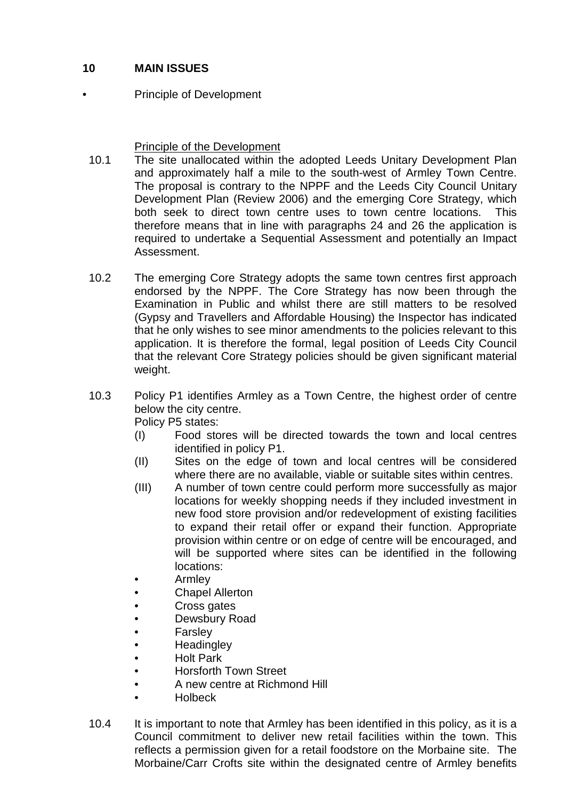# **10 MAIN ISSUES**

Principle of Development

## Principle of the Development

- 10.1 The site unallocated within the adopted Leeds Unitary Development Plan and approximately half a mile to the south-west of Armley Town Centre. The proposal is contrary to the NPPF and the Leeds City Council Unitary Development Plan (Review 2006) and the emerging Core Strategy, which both seek to direct town centre uses to town centre locations. This therefore means that in line with paragraphs 24 and 26 the application is required to undertake a Sequential Assessment and potentially an Impact Assessment.
- 10.2 The emerging Core Strategy adopts the same town centres first approach endorsed by the NPPF. The Core Strategy has now been through the Examination in Public and whilst there are still matters to be resolved (Gypsy and Travellers and Affordable Housing) the Inspector has indicated that he only wishes to see minor amendments to the policies relevant to this application. It is therefore the formal, legal position of Leeds City Council that the relevant Core Strategy policies should be given significant material weight.
- 10.3 Policy P1 identifies Armley as a Town Centre, the highest order of centre below the city centre. Policy P5 states:
	- (I) Food stores will be directed towards the town and local centres identified in policy P1.
		- (II) Sites on the edge of town and local centres will be considered where there are no available, viable or suitable sites within centres.
		- (III) A number of town centre could perform more successfully as major locations for weekly shopping needs if they included investment in new food store provision and/or redevelopment of existing facilities to expand their retail offer or expand their function. Appropriate provision within centre or on edge of centre will be encouraged, and will be supported where sites can be identified in the following locations:
		- Armley
		- Chapel Allerton
		- Cross gates
		- Dewsbury Road
		- Farsley
		- **Headingley**
		- Holt Park
		- Horsforth Town Street
		- A new centre at Richmond Hill
		- Holbeck
- 10.4 It is important to note that Armley has been identified in this policy, as it is a Council commitment to deliver new retail facilities within the town. This reflects a permission given for a retail foodstore on the Morbaine site. The Morbaine/Carr Crofts site within the designated centre of Armley benefits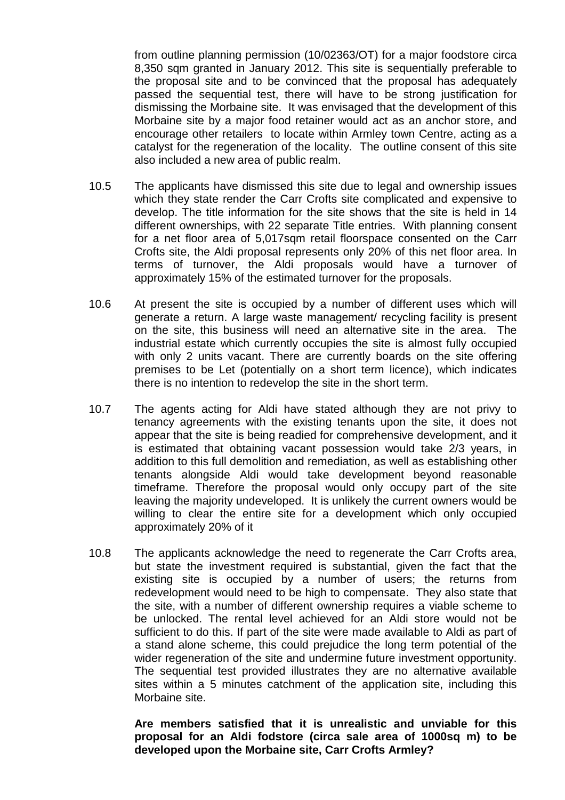from outline planning permission (10/02363/OT) for a major foodstore circa 8,350 sqm granted in January 2012. This site is sequentially preferable to the proposal site and to be convinced that the proposal has adequately passed the sequential test, there will have to be strong justification for dismissing the Morbaine site. It was envisaged that the development of this Morbaine site by a major food retainer would act as an anchor store, and encourage other retailers to locate within Armley town Centre, acting as a catalyst for the regeneration of the locality. The outline consent of this site also included a new area of public realm.

- 10.5 The applicants have dismissed this site due to legal and ownership issues which they state render the Carr Crofts site complicated and expensive to develop. The title information for the site shows that the site is held in 14 different ownerships, with 22 separate Title entries. With planning consent for a net floor area of 5,017sqm retail floorspace consented on the Carr Crofts site, the Aldi proposal represents only 20% of this net floor area. In terms of turnover, the Aldi proposals would have a turnover of approximately 15% of the estimated turnover for the proposals.
- 10.6 At present the site is occupied by a number of different uses which will generate a return. A large waste management/ recycling facility is present on the site, this business will need an alternative site in the area. The industrial estate which currently occupies the site is almost fully occupied with only 2 units vacant. There are currently boards on the site offering premises to be Let (potentially on a short term licence), which indicates there is no intention to redevelop the site in the short term.
- 10.7 The agents acting for Aldi have stated although they are not privy to tenancy agreements with the existing tenants upon the site, it does not appear that the site is being readied for comprehensive development, and it is estimated that obtaining vacant possession would take 2/3 years, in addition to this full demolition and remediation, as well as establishing other tenants alongside Aldi would take development beyond reasonable timeframe. Therefore the proposal would only occupy part of the site leaving the majority undeveloped. It is unlikely the current owners would be willing to clear the entire site for a development which only occupied approximately 20% of it
- 10.8 The applicants acknowledge the need to regenerate the Carr Crofts area, but state the investment required is substantial, given the fact that the existing site is occupied by a number of users; the returns from redevelopment would need to be high to compensate. They also state that the site, with a number of different ownership requires a viable scheme to be unlocked. The rental level achieved for an Aldi store would not be sufficient to do this. If part of the site were made available to Aldi as part of a stand alone scheme, this could prejudice the long term potential of the wider regeneration of the site and undermine future investment opportunity. The sequential test provided illustrates they are no alternative available sites within a 5 minutes catchment of the application site, including this Morbaine site.

**Are members satisfied that it is unrealistic and unviable for this proposal for an Aldi fodstore (circa sale area of 1000sq m) to be developed upon the Morbaine site, Carr Crofts Armley?**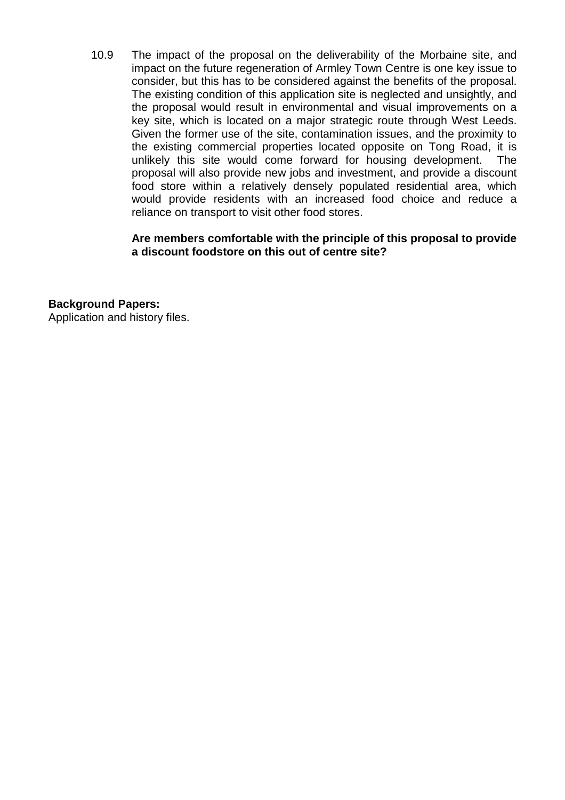10.9 The impact of the proposal on the deliverability of the Morbaine site, and impact on the future regeneration of Armley Town Centre is one key issue to consider, but this has to be considered against the benefits of the proposal. The existing condition of this application site is neglected and unsightly, and the proposal would result in environmental and visual improvements on a key site, which is located on a major strategic route through West Leeds. Given the former use of the site, contamination issues, and the proximity to the existing commercial properties located opposite on Tong Road, it is unlikely this site would come forward for housing development. The proposal will also provide new jobs and investment, and provide a discount food store within a relatively densely populated residential area, which would provide residents with an increased food choice and reduce a reliance on transport to visit other food stores.

**Are members comfortable with the principle of this proposal to provide a discount foodstore on this out of centre site?**

**Background Papers:**

Application and history files.